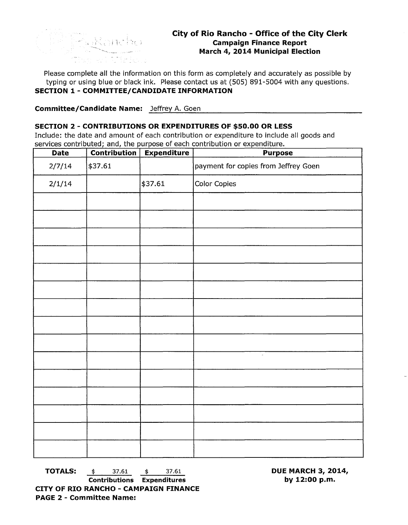

Please complete all the information on this form as completely and accurately as possible by typing or using blue or black ink. Please contact us at (505) 891-5004 with any questions. **SECTION 1- COMMITTEE/CANDIDATE INFORMATION** 

**Committee/Candidate Name:** Jeffrey A. Goen

## **SECTION 2 - CONTRIBUTIONS OR EXPENDITURES OF \$50.00 OR LESS**

Include: the date and amount of each contribution or expenditure to include all goods and services contributed; and, the purpose of each contribution or expenditure.

| <b>Date</b> | <b>Contribution</b> | <b>Expenditure</b> | <b>Purpose</b>                       |
|-------------|---------------------|--------------------|--------------------------------------|
| 2/7/14      | \$37.61             |                    | payment for copies from Jeffrey Goen |
| 2/1/14      |                     | \$37.61            | Color Copies                         |
|             |                     |                    |                                      |
|             |                     |                    |                                      |
|             |                     |                    |                                      |
|             |                     |                    |                                      |
|             |                     |                    |                                      |
|             |                     |                    |                                      |
|             |                     |                    |                                      |
|             |                     |                    |                                      |
|             |                     |                    |                                      |
|             |                     |                    | $\bar{z}$                            |
|             |                     |                    |                                      |
|             |                     |                    |                                      |
|             |                     |                    |                                      |
|             |                     |                    |                                      |
|             |                     |                    |                                      |

**TOTALS:**  $\frac{4}{37.61}$   $\frac{4}{37.61}$ 

**Contributions Expenditures CITY OF RIO RANCHO - CAMPAIGN FINANCE PAGE 2 - Committee Name:** 

**DUE MARCH 3, 2014, by 12:00 p.m.**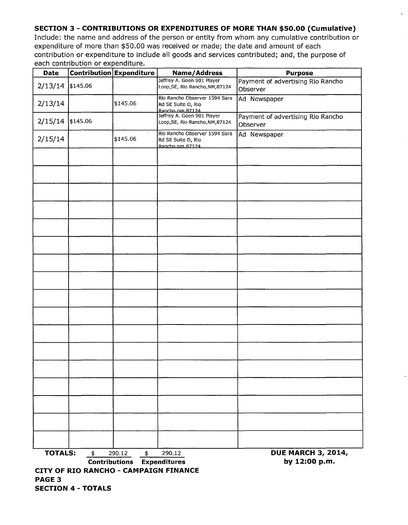## **SECTION 3 - CONTRIBUTIONS OR EXPENDITURES OF MORE THAN \$50.00 (Cumulative)**

Include: the name and address of the person or entity from whom any cumulative contribution or expenditure of more than \$50.00 was received or made; the date and amount of each contribution or expenditure to include all goods and services contributed; and, the purpose of each contribution or expenditure.

| Date                                                        |                                                                                             | Contribution Expenditure | Name/Address                                                           | <b>Purpose</b>                                |  |  |
|-------------------------------------------------------------|---------------------------------------------------------------------------------------------|--------------------------|------------------------------------------------------------------------|-----------------------------------------------|--|--|
| 2/13/14                                                     | \$145.06                                                                                    |                          | Jeffrey A. Goen 901 Player<br>Loop, SE, Rio Rancho, NM, 87124          | Payment of advertising Rio Rancho<br>Observer |  |  |
| 2/13/14                                                     |                                                                                             | \$145.06                 | Rio Rancho Observer 1594 Sara<br>Rd SE Suite D, Rio<br>Rancho.nm.87124 | Ad Newspaper                                  |  |  |
| 2/15/14                                                     | \$145.06                                                                                    |                          | Jeffrey A. Goen 901 Player<br>Loop, SE, Rio Rancho, NM, 87124          | Payment of advertising Rio Rancho<br>Observer |  |  |
| 2/15/14                                                     |                                                                                             | \$145.06                 | Rio Rancho Observer 1594 Sara<br>Rd SE Suite D, Rio<br>Rancho.nm.87124 | Ad Newspaper                                  |  |  |
|                                                             |                                                                                             |                          |                                                                        |                                               |  |  |
|                                                             |                                                                                             |                          |                                                                        |                                               |  |  |
|                                                             |                                                                                             |                          |                                                                        |                                               |  |  |
|                                                             |                                                                                             |                          |                                                                        |                                               |  |  |
|                                                             |                                                                                             |                          |                                                                        |                                               |  |  |
|                                                             |                                                                                             |                          |                                                                        |                                               |  |  |
|                                                             |                                                                                             |                          |                                                                        |                                               |  |  |
|                                                             |                                                                                             |                          |                                                                        |                                               |  |  |
|                                                             |                                                                                             |                          |                                                                        |                                               |  |  |
|                                                             |                                                                                             |                          |                                                                        |                                               |  |  |
|                                                             |                                                                                             |                          |                                                                        |                                               |  |  |
|                                                             |                                                                                             |                          |                                                                        |                                               |  |  |
|                                                             |                                                                                             |                          |                                                                        |                                               |  |  |
|                                                             |                                                                                             |                          |                                                                        |                                               |  |  |
|                                                             |                                                                                             |                          |                                                                        |                                               |  |  |
|                                                             |                                                                                             |                          |                                                                        |                                               |  |  |
|                                                             |                                                                                             |                          |                                                                        |                                               |  |  |
| <b>TOTALS:</b><br>290.12<br>290.12<br>$\ddot{\bm{z}}$<br>\$ |                                                                                             |                          |                                                                        | <b>DUE MARCH 3, 2014,</b>                     |  |  |
|                                                             | by 12:00 p.m.<br><b>Contributions Expenditures</b><br>CITY OF RIO RANCHO - CAMPAIGN FINANCE |                          |                                                                        |                                               |  |  |
| <b>PAGE 3</b>                                               | <b>SECTION 4 - TOTALS</b>                                                                   |                          |                                                                        |                                               |  |  |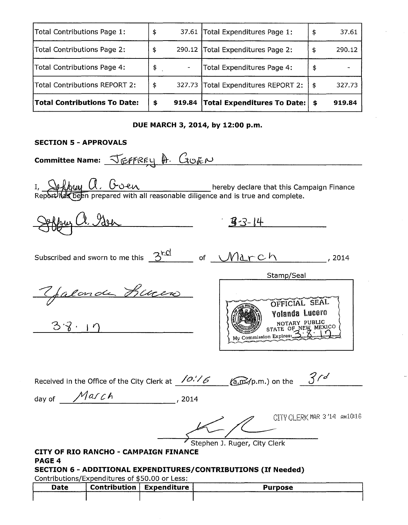| <b>Total Contributions To Date:</b> | \$<br>919.84 | <b>Total Expenditures To Date:</b> $\frac{1}{2}$ |     | 919.84 |
|-------------------------------------|--------------|--------------------------------------------------|-----|--------|
| Total Contributions REPORT 2:       | \$           | 327.73 Total Expenditures REPORT 2:              | -\$ | 327.73 |
| Total Contributions Page 4:         | \$           | Total Expenditures Page 4:                       | \$  |        |
| Total Contributions Page 2:         | \$           | 290.12 Total Expenditures Page 2:                | \$  | 290.12 |
| Total Contributions Page 1:         | \$           | 37.61   Total Expenditures Page 1:               | \$  | 37.61  |

## **DUE MARCH 3, 2014, by 12:00 p.m.**

## **SECTION 5 - APPROVALS**

**Committee Name:** <del>JEFFREY A. GOEN</del> I, Sollywy A, Goen<br>Report has been prepared with all reasonable diligence and is true and complete.  $33 - 14$ Subscribed and sworn to me this  $\frac{3^{rcl}}{2^{rcl}}$  of  $\frac{\sqrt{12 \cdot r C h}}{2^{rcl}}$ , 2014 Stamp/Seal Yalonde Buren OFFICIAL SEAL Yolanda Lucero<br>NOTARY PUBLIC  $3.8.17$ STATE OF NEW MEXICO My Commission Expires: Received in the Office of the City Clerk at  $\frac{\sqrt{O.16}}{6}$  (a.m./p.m.) on the  $\frac{3}{d}$ day of *\_.....::/'1:.....-\_CU \_\_ C\_A \_\_\_\_\_\_\_ , 2014*  CITY CLERK MAR 3/14 AM10/16 Stephen J. Ruger, City Clerk **CITY OF RIO RANCHO - CAMPAIGN FINANCE**  PAGE 4 **SECTION 6 - ADDITIONAL EXPENDITURES/CONTRIBUTIONS (If Needed)** 

Contributions/Expenditures of \$50.00 or Less:

| Date | Contribution   Expenditure | _______<br>Purpose |
|------|----------------------------|--------------------|
|      |                            |                    |